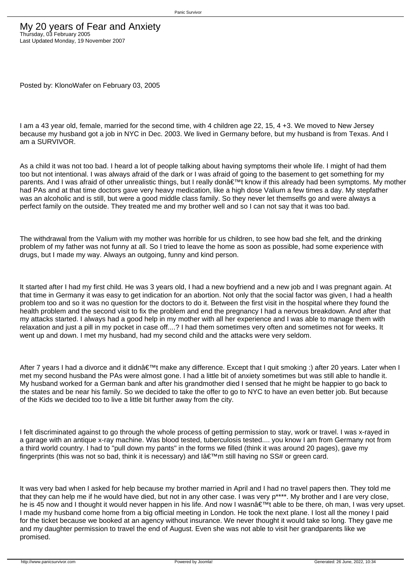Posted by: KlonoWafer on February 03, 2005

I am a 43 year old, female, married for the second time, with 4 children age 22, 15, 4 +3. We moved to New Jersey because my husband got a job in NYC in Dec. 2003. We lived in Germany before, but my husband is from Texas. And I am a SURVIVOR.

As a child it was not too bad. I heard a lot of people talking about having symptoms their whole life. I might of had them too but not intentional. I was always afraid of the dark or I was afraid of going to the basement to get something for my parents. And I was afraid of other unrealistic things, but I really don't know if this already had been symptoms. My mother had PAs and at that time doctors gave very heavy medication, like a high dose Valium a few times a day. My stepfather was an alcoholic and is still, but were a good middle class family. So they never let themselfs go and were always a perfect family on the outside. They treated me and my brother well and so I can not say that it was too bad.

The withdrawal from the Valium with my mother was horrible for us children, to see how bad she felt, and the drinking problem of my father was not funny at all. So I tried to leave the home as soon as possible, had some experience with drugs, but I made my way. Always an outgoing, funny and kind person.

It started after I had my first child. He was 3 years old, I had a new boyfriend and a new job and I was pregnant again. At that time in Germany it was easy to get indication for an abortion. Not only that the social factor was given, I had a health problem too and so it was no question for the doctors to do it. Between the first visit in the hospital where they found the health problem and the second visit to fix the problem and end the pregnancy I had a nervous breakdown. And after that my attacks started. I always had a good help in my mother with all her experience and I was able to manage them with relaxation and just a pill in my pocket in case off....? I had them sometimes very often and sometimes not for weeks. It went up and down. I met my husband, had my second child and the attacks were very seldom.

After 7 years I had a divorce and it didn $\hat{\epsilon}^{\text{TM}}$ t make any difference. Except that I quit smoking :) after 20 years. Later when I met my second husband the PAs were almost gone. I had a little bit of anxiety sometimes but was still able to handle it. My husband worked for a German bank and after his grandmother died I sensed that he might be happier to go back to the states and be near his family. So we decided to take the offer to go to NYC to have an even better job. But because of the Kids we decided too to live a little bit further away from the city.

I felt discriminated against to go through the whole process of getting permission to stay, work or travel. I was x-rayed in a garage with an antique x-ray machine. Was blood tested, tuberculosis tested.... you know I am from Germany not from a third world country. I had to "pull down my pants" in the forms we filled (think it was around 20 pages), gave my fingerprints (this was not so bad, think it is necessary) and lâ $\epsilon^{TM}$ m still having no SS# or green card.

It was very bad when I asked for help because my brother married in April and I had no travel papers then. They told me that they can help me if he would have died, but not in any other case. I was very p\*\*\*\*. My brother and I are very close, he is 45 now and I thought it would never happen in his life. And now I wasn't able to be there, oh man, I was very upset. I made my husband come home from a big official meeting in London. He took the next plane. I lost all the money I paid for the ticket because we booked at an agency without insurance. We never thought it would take so long. They gave me and my daughter permission to travel the end of August. Even she was not able to visit her grandparents like we promised.